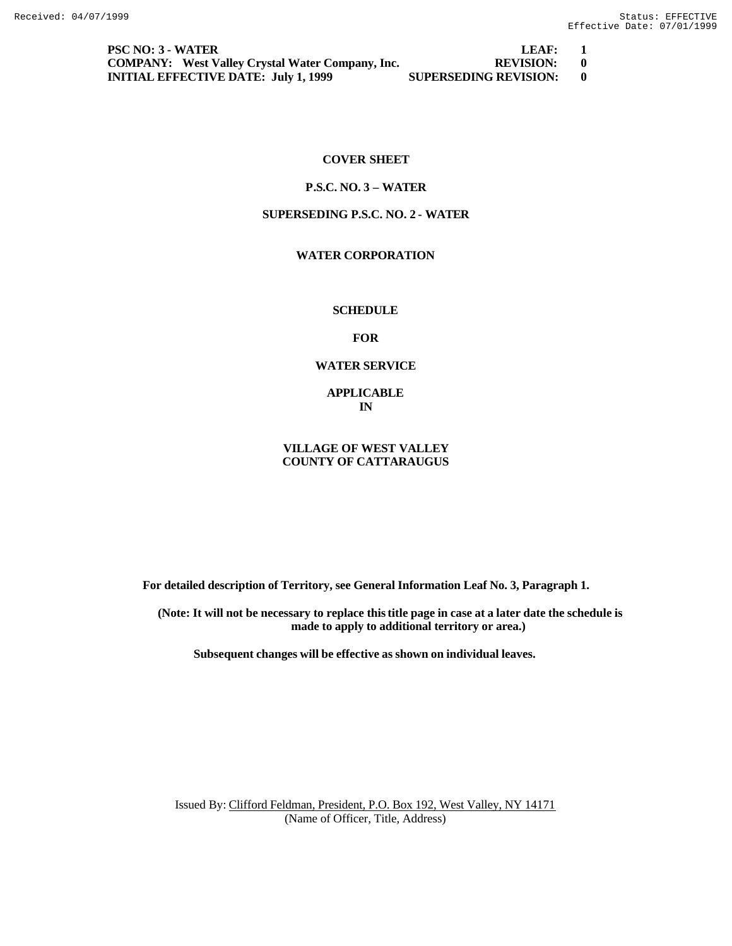**PSC NO: 3 - WATER LEAF: 1 COMPANY: West Valley Crystal Water Company, Inc. REVISION: 0 INITIAL EFFECTIVE DATE: July 1, 1999 SUPERSEDING REVISION: 0**

## **COVER SHEET**

## **P.S.C. NO. 3 – WATER**

## **SUPERSEDING P.S.C. NO. 2 - WATER**

# **WATER CORPORATION**

## **SCHEDULE**

**FOR**

#### **WATER SERVICE**

**APPLICABLE IN**

## **VILLAGE OF WEST VALLEY COUNTY OF CATTARAUGUS**

**For detailed description of Territory, see General Information Leaf No. 3, Paragraph 1.**

**(Note: It will not be necessary to replace this title page in case at a later date the schedule is made to apply to additional territory or area.)**

**Subsequent changes will be effective as shown on individual leaves.**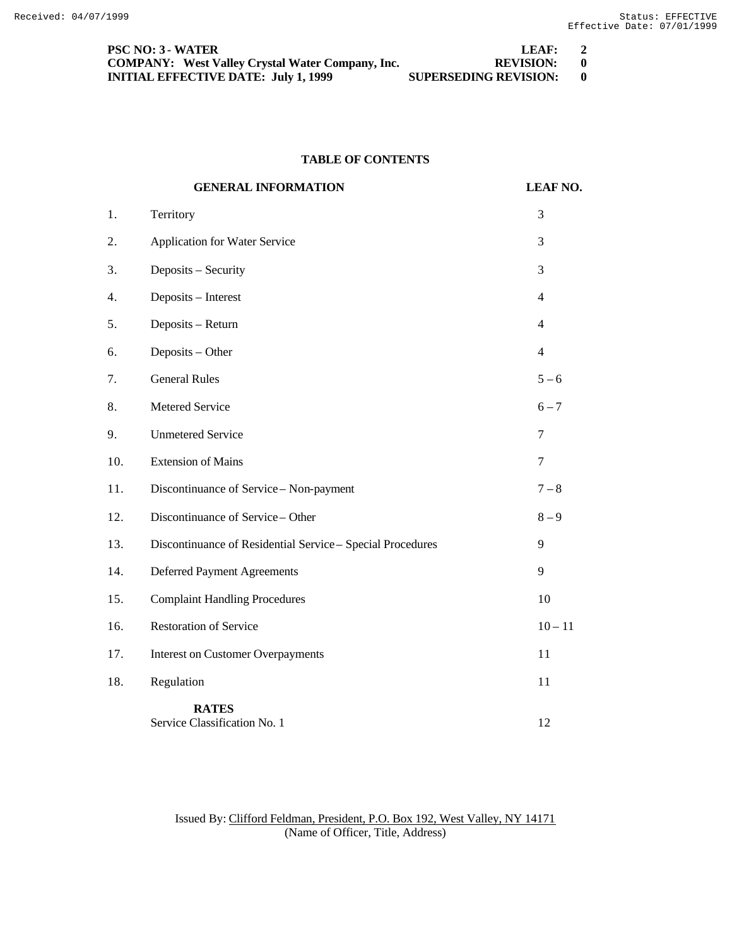| <b>PSC NO: 3 - WATER</b>                                | LEAF:                        | $\overline{2}$ |
|---------------------------------------------------------|------------------------------|----------------|
| <b>COMPANY:</b> West Valley Crystal Water Company, Inc. | REVISION: 0                  |                |
| <b>INITIAL EFFECTIVE DATE: July 1, 1999</b>             | <b>SUPERSEDING REVISION:</b> |                |

# **TABLE OF CONTENTS**

|     | <b>GENERAL INFORMATION</b>                                 | <b>LEAF NO.</b> |
|-----|------------------------------------------------------------|-----------------|
| 1.  | Territory                                                  | 3               |
| 2.  | <b>Application for Water Service</b>                       | 3               |
| 3.  | Deposits - Security                                        | 3               |
| 4.  | Deposits - Interest                                        | $\overline{4}$  |
| 5.  | Deposits - Return                                          | $\overline{4}$  |
| 6.  | Deposits - Other                                           | $\overline{4}$  |
| 7.  | <b>General Rules</b>                                       | $5 - 6$         |
| 8.  | Metered Service                                            | $6 - 7$         |
| 9.  | <b>Unmetered Service</b>                                   | 7               |
| 10. | <b>Extension of Mains</b>                                  | 7               |
| 11. | Discontinuance of Service - Non-payment                    | $7 - 8$         |
| 12. | Discontinuance of Service - Other                          | $8 - 9$         |
| 13. | Discontinuance of Residential Service - Special Procedures | 9               |
| 14. | <b>Deferred Payment Agreements</b>                         | 9               |
| 15. | <b>Complaint Handling Procedures</b>                       | 10              |
| 16. | <b>Restoration of Service</b>                              | $10 - 11$       |
| 17. | <b>Interest on Customer Overpayments</b>                   | 11              |
| 18. | Regulation                                                 | 11              |
|     | <b>RATES</b><br>Service Classification No. 1               | 12              |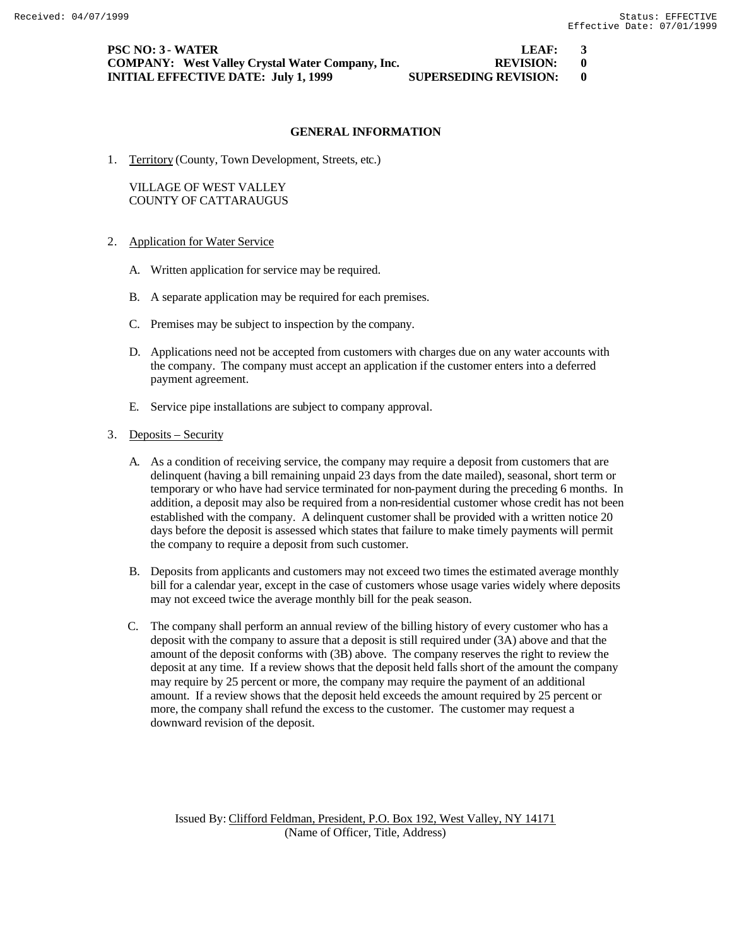| <b>PSC NO: 3 - WATER</b>                                | LEAF:                        | $\overline{\mathbf{3}}$ |
|---------------------------------------------------------|------------------------------|-------------------------|
| <b>COMPANY:</b> West Valley Crystal Water Company, Inc. | REVISION: 0                  |                         |
| <b>INITIAL EFFECTIVE DATE: July 1, 1999</b>             | <b>SUPERSEDING REVISION:</b> |                         |

1. Territory (County, Town Development, Streets, etc.)

## VILLAGE OF WEST VALLEY COUNTY OF CATTARAUGUS

- 2. Application for Water Service
	- A. Written application for service may be required.
	- B. A separate application may be required for each premises.
	- C. Premises may be subject to inspection by the company.
	- D. Applications need not be accepted from customers with charges due on any water accounts with the company. The company must accept an application if the customer enters into a deferred payment agreement.
	- E. Service pipe installations are subject to company approval.

#### 3. Deposits – Security

- A. As a condition of receiving service, the company may require a deposit from customers that are delinquent (having a bill remaining unpaid 23 days from the date mailed), seasonal, short term or temporary or who have had service terminated for non-payment during the preceding 6 months. In addition, a deposit may also be required from a non-residential customer whose credit has not been established with the company. A delinquent customer shall be provided with a written notice 20 days before the deposit is assessed which states that failure to make timely payments will permit the company to require a deposit from such customer.
- B. Deposits from applicants and customers may not exceed two times the estimated average monthly bill for a calendar year, except in the case of customers whose usage varies widely where deposits may not exceed twice the average monthly bill for the peak season.
- C. The company shall perform an annual review of the billing history of every customer who has a deposit with the company to assure that a deposit is still required under (3A) above and that the amount of the deposit conforms with (3B) above. The company reserves the right to review the deposit at any time. If a review shows that the deposit held falls short of the amount the company may require by 25 percent or more, the company may require the payment of an additional amount. If a review shows that the deposit held exceeds the amount required by 25 percent or more, the company shall refund the excess to the customer. The customer may request a downward revision of the deposit.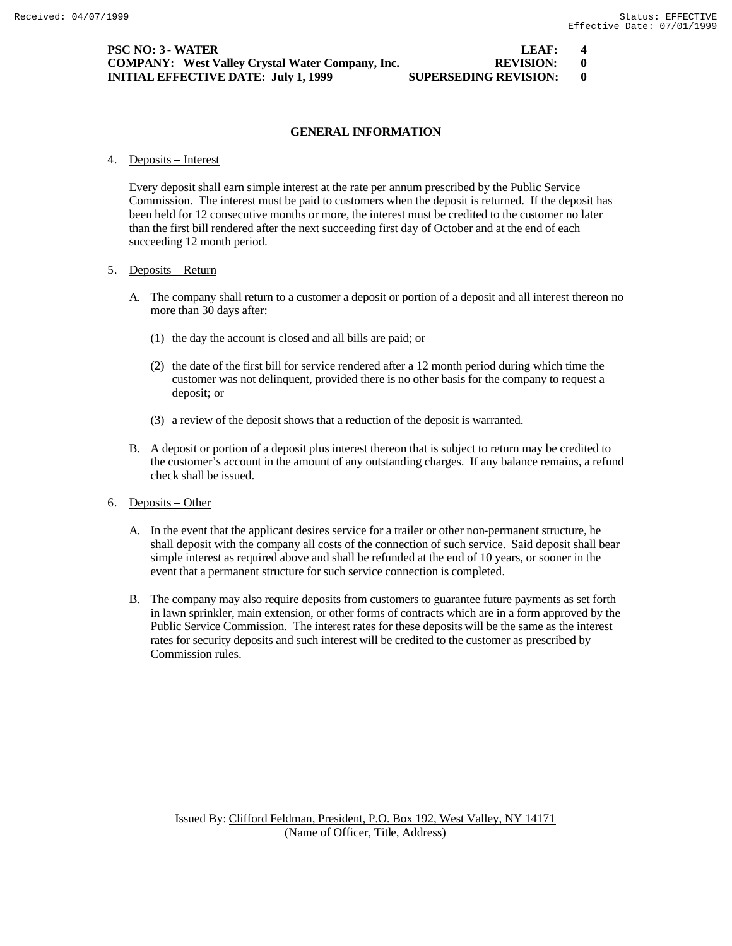| <b>PSC NO: 3 - WATER</b>                                | LEAF:                        | 4 |
|---------------------------------------------------------|------------------------------|---|
| <b>COMPANY:</b> West Valley Crystal Water Company, Inc. | REVISION: 0                  |   |
| <b>INITIAL EFFECTIVE DATE: July 1, 1999</b>             | <b>SUPERSEDING REVISION:</b> |   |

4. Deposits – Interest

Every deposit shall earn simple interest at the rate per annum prescribed by the Public Service Commission. The interest must be paid to customers when the deposit is returned. If the deposit has been held for 12 consecutive months or more, the interest must be credited to the customer no later than the first bill rendered after the next succeeding first day of October and at the end of each succeeding 12 month period.

#### 5. Deposits – Return

- A. The company shall return to a customer a deposit or portion of a deposit and all interest thereon no more than 30 days after:
	- (1) the day the account is closed and all bills are paid; or
	- (2) the date of the first bill for service rendered after a 12 month period during which time the customer was not delinquent, provided there is no other basis for the company to request a deposit; or
	- (3) a review of the deposit shows that a reduction of the deposit is warranted.
- B. A deposit or portion of a deposit plus interest thereon that is subject to return may be credited to the customer's account in the amount of any outstanding charges. If any balance remains, a refund check shall be issued.
- 6. Deposits Other
	- A. In the event that the applicant desires service for a trailer or other non-permanent structure, he shall deposit with the company all costs of the connection of such service. Said deposit shall bear simple interest as required above and shall be refunded at the end of 10 years, or sooner in the event that a permanent structure for such service connection is completed.
	- B. The company may also require deposits from customers to guarantee future payments as set forth in lawn sprinkler, main extension, or other forms of contracts which are in a form approved by the Public Service Commission. The interest rates for these deposits will be the same as the interest rates for security deposits and such interest will be credited to the customer as prescribed by Commission rules.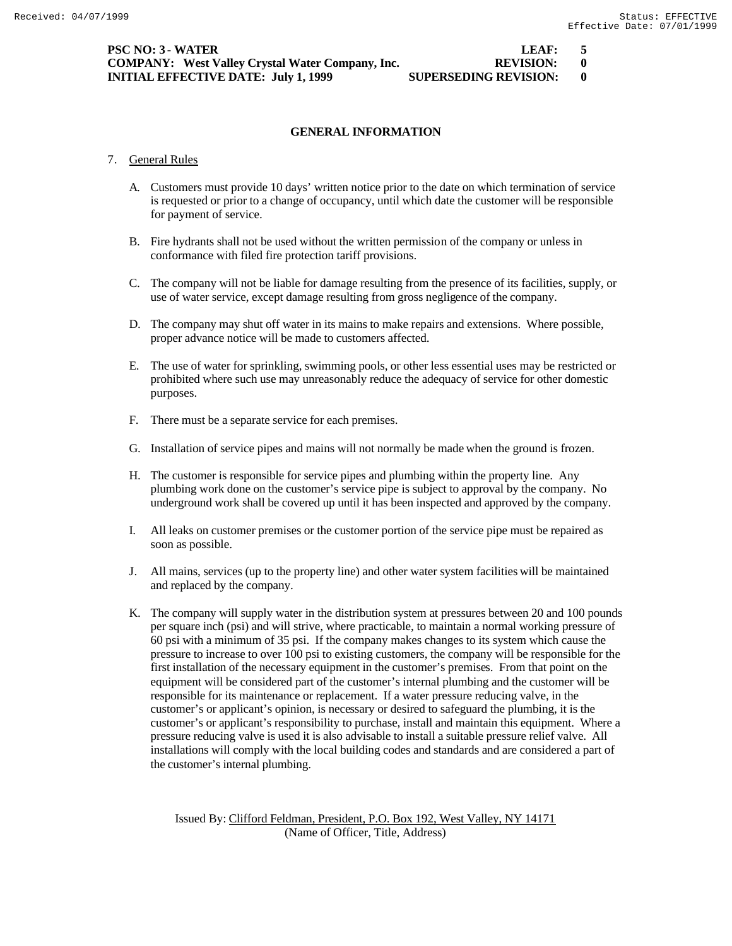| PSC NO: 3 - WATER                                       | LEAF:                        | $\sqrt{5}$ |
|---------------------------------------------------------|------------------------------|------------|
| <b>COMPANY:</b> West Valley Crystal Water Company, Inc. | REVISION: 0                  |            |
| INITIAL EFFECTIVE DATE:  July 1, 1999                   | <b>SUPERSEDING REVISION:</b> |            |

- 7. General Rules
	- A. Customers must provide 10 days' written notice prior to the date on which termination of service is requested or prior to a change of occupancy, until which date the customer will be responsible for payment of service.
	- B. Fire hydrants shall not be used without the written permission of the company or unless in conformance with filed fire protection tariff provisions.
	- C. The company will not be liable for damage resulting from the presence of its facilities, supply, or use of water service, except damage resulting from gross negligence of the company.
	- D. The company may shut off water in its mains to make repairs and extensions. Where possible, proper advance notice will be made to customers affected.
	- E. The use of water for sprinkling, swimming pools, or other less essential uses may be restricted or prohibited where such use may unreasonably reduce the adequacy of service for other domestic purposes.
	- F. There must be a separate service for each premises.
	- G. Installation of service pipes and mains will not normally be made when the ground is frozen.
	- H. The customer is responsible for service pipes and plumbing within the property line. Any plumbing work done on the customer's service pipe is subject to approval by the company. No underground work shall be covered up until it has been inspected and approved by the company.
	- I. All leaks on customer premises or the customer portion of the service pipe must be repaired as soon as possible.
	- J. All mains, services (up to the property line) and other water system facilities will be maintained and replaced by the company.
	- K. The company will supply water in the distribution system at pressures between 20 and 100 pounds per square inch (psi) and will strive, where practicable, to maintain a normal working pressure of 60 psi with a minimum of 35 psi. If the company makes changes to its system which cause the pressure to increase to over 100 psi to existing customers, the company will be responsible for the first installation of the necessary equipment in the customer's premises. From that point on the equipment will be considered part of the customer's internal plumbing and the customer will be responsible for its maintenance or replacement. If a water pressure reducing valve, in the customer's or applicant's opinion, is necessary or desired to safeguard the plumbing, it is the customer's or applicant's responsibility to purchase, install and maintain this equipment. Where a pressure reducing valve is used it is also advisable to install a suitable pressure relief valve. All installations will comply with the local building codes and standards and are considered a part of the customer's internal plumbing.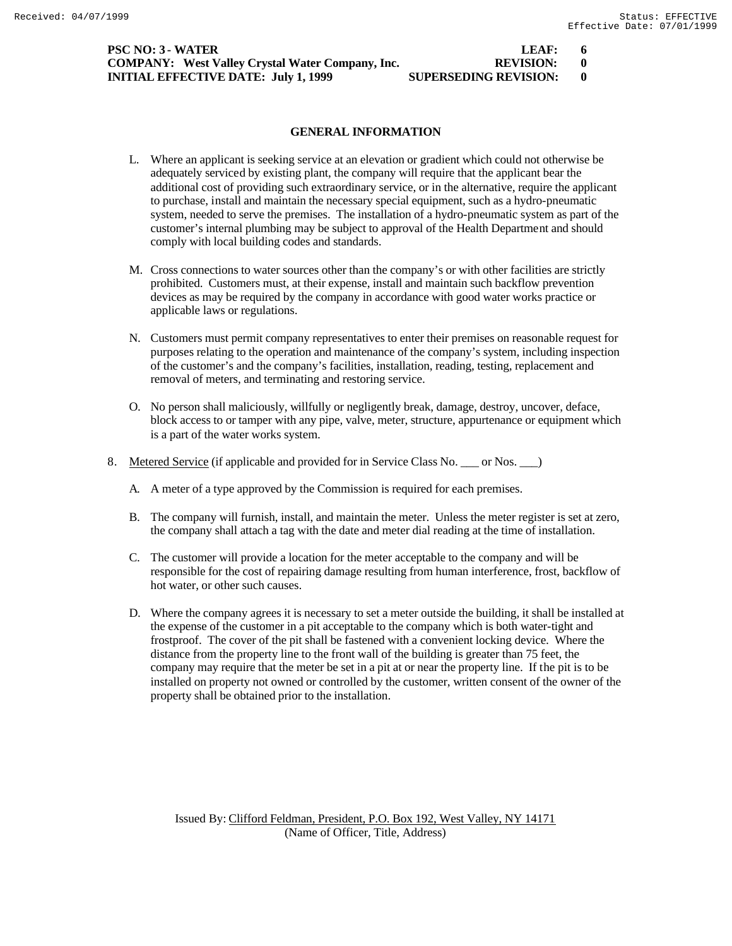| <b>PSC NO: 3 - WATER</b>                                | LEAF:                        | - 6 |
|---------------------------------------------------------|------------------------------|-----|
| <b>COMPANY:</b> West Valley Crystal Water Company, Inc. | REVISION: 0                  |     |
| <b>INITIAL EFFECTIVE DATE: July 1, 1999</b>             | <b>SUPERSEDING REVISION:</b> |     |

# $REVISION: 0$

## **GENERAL INFORMATION**

- L. Where an applicant is seeking service at an elevation or gradient which could not otherwise be adequately serviced by existing plant, the company will require that the applicant bear the additional cost of providing such extraordinary service, or in the alternative, require the applicant to purchase, install and maintain the necessary special equipment, such as a hydro-pneumatic system, needed to serve the premises. The installation of a hydro-pneumatic system as part of the customer's internal plumbing may be subject to approval of the Health Department and should comply with local building codes and standards.
- M. Cross connections to water sources other than the company's or with other facilities are strictly prohibited. Customers must, at their expense, install and maintain such backflow prevention devices as may be required by the company in accordance with good water works practice or applicable laws or regulations.
- N. Customers must permit company representatives to enter their premises on reasonable request for purposes relating to the operation and maintenance of the company's system, including inspection of the customer's and the company's facilities, installation, reading, testing, replacement and removal of meters, and terminating and restoring service.
- O. No person shall maliciously, willfully or negligently break, damage, destroy, uncover, deface, block access to or tamper with any pipe, valve, meter, structure, appurtenance or equipment which is a part of the water works system.
- 8. Metered Service (if applicable and provided for in Service Class No. \_\_\_ or Nos. \_\_ )
	- A. A meter of a type approved by the Commission is required for each premises.
	- B. The company will furnish, install, and maintain the meter. Unless the meter register is set at zero, the company shall attach a tag with the date and meter dial reading at the time of installation.
	- C. The customer will provide a location for the meter acceptable to the company and will be responsible for the cost of repairing damage resulting from human interference, frost, backflow of hot water, or other such causes.
	- D. Where the company agrees it is necessary to set a meter outside the building, it shall be installed at the expense of the customer in a pit acceptable to the company which is both water-tight and frostproof. The cover of the pit shall be fastened with a convenient locking device. Where the distance from the property line to the front wall of the building is greater than 75 feet, the company may require that the meter be set in a pit at or near the property line. If the pit is to be installed on property not owned or controlled by the customer, written consent of the owner of the property shall be obtained prior to the installation.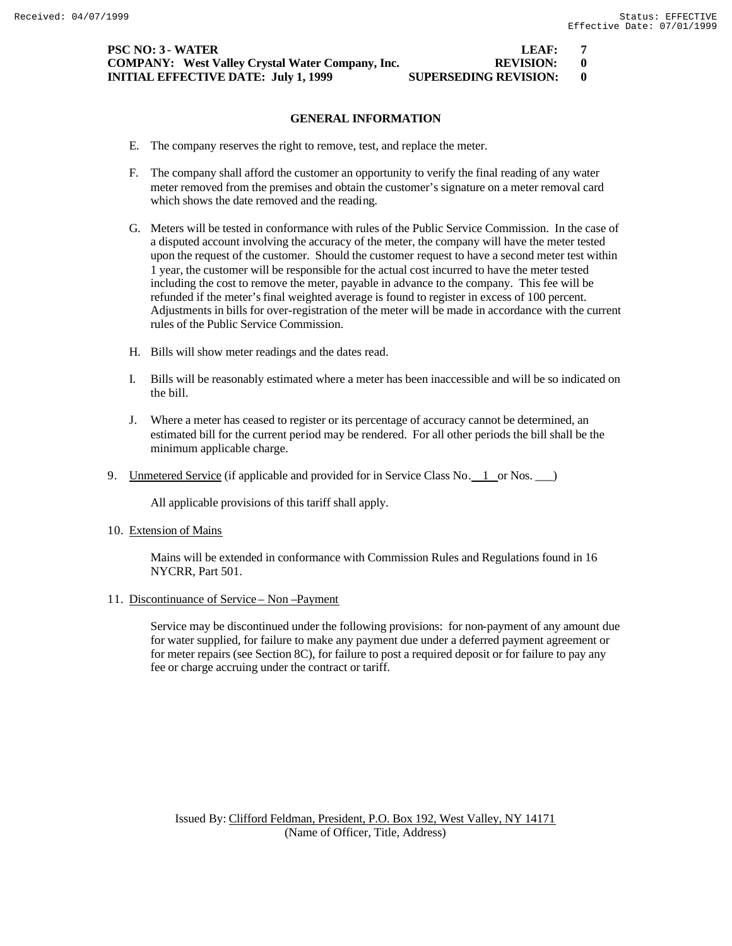| PSC NO: 3 - WATER                                       | LEAF:                        |  |
|---------------------------------------------------------|------------------------------|--|
| <b>COMPANY:</b> West Valley Crystal Water Company, Inc. | REVISION: 0                  |  |
| INITIAL EFFECTIVE DATE:  July 1, 1999                   | <b>SUPERSEDING REVISION:</b> |  |

- E. The company reserves the right to remove, test, and replace the meter.
- F. The company shall afford the customer an opportunity to verify the final reading of any water meter removed from the premises and obtain the customer's signature on a meter removal card which shows the date removed and the reading.
- G. Meters will be tested in conformance with rules of the Public Service Commission. In the case of a disputed account involving the accuracy of the meter, the company will have the meter tested upon the request of the customer. Should the customer request to have a second meter test within 1 year, the customer will be responsible for the actual cost incurred to have the meter tested including the cost to remove the meter, payable in advance to the company. This fee will be refunded if the meter's final weighted average is found to register in excess of 100 percent. Adjustments in bills for over-registration of the meter will be made in accordance with the current rules of the Public Service Commission.
- H. Bills will show meter readings and the dates read.
- I. Bills will be reasonably estimated where a meter has been inaccessible and will be so indicated on the bill.
- J. Where a meter has ceased to register or its percentage of accuracy cannot be determined, an estimated bill for the current period may be rendered. For all other periods the bill shall be the minimum applicable charge.
- 9. Unmetered Service (if applicable and provided for in Service Class No. 1 or Nos. )

All applicable provisions of this tariff shall apply.

10. Extension of Mains

Mains will be extended in conformance with Commission Rules and Regulations found in 16 NYCRR, Part 501.

11. Discontinuance of Service – Non –Payment

Service may be discontinued under the following provisions: for non-payment of any amount due for water supplied, for failure to make any payment due under a deferred payment agreement or for meter repairs (see Section 8C), for failure to post a required deposit or for failure to pay any fee or charge accruing under the contract or tariff.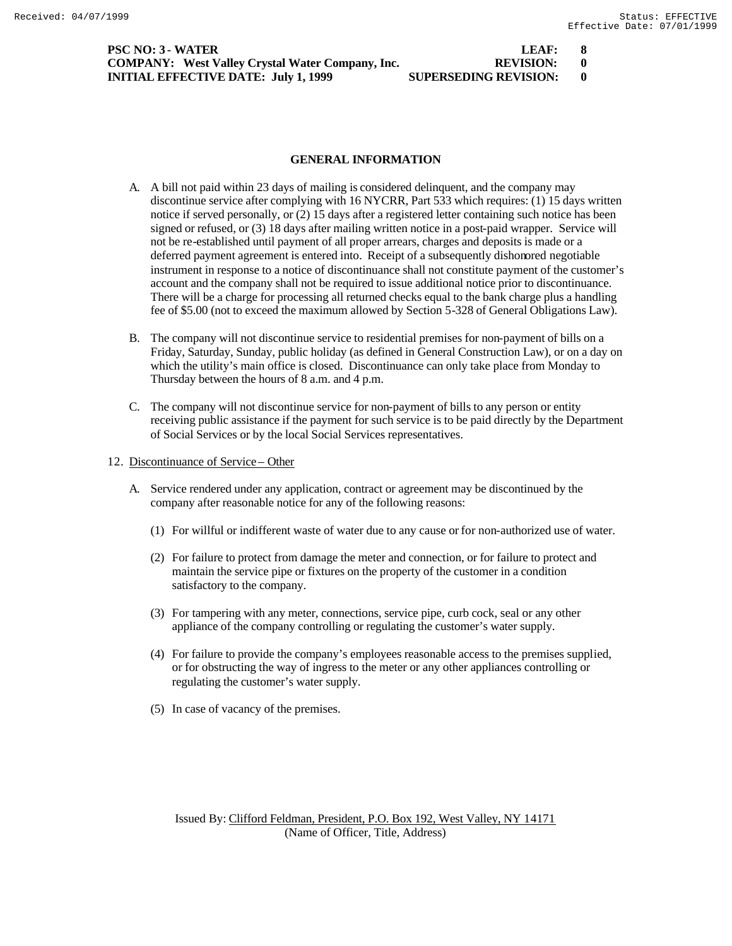| <b>PSC NO: 3 - WATER</b>                                | LEAF:                        | - 8 |
|---------------------------------------------------------|------------------------------|-----|
| <b>COMPANY:</b> West Valley Crystal Water Company, Inc. | REVISION: 0                  |     |
| <b>INITIAL EFFECTIVE DATE: July 1, 1999</b>             | <b>SUPERSEDING REVISION:</b> |     |

## **GENERAL INFORMATION**

- A. A bill not paid within 23 days of mailing is considered delinquent, and the company may discontinue service after complying with 16 NYCRR, Part 533 which requires: (1) 15 days written notice if served personally, or (2) 15 days after a registered letter containing such notice has been signed or refused, or (3) 18 days after mailing written notice in a post-paid wrapper. Service will not be re-established until payment of all proper arrears, charges and deposits is made or a deferred payment agreement is entered into. Receipt of a subsequently dishonored negotiable instrument in response to a notice of discontinuance shall not constitute payment of the customer's account and the company shall not be required to issue additional notice prior to discontinuance. There will be a charge for processing all returned checks equal to the bank charge plus a handling fee of \$5.00 (not to exceed the maximum allowed by Section 5-328 of General Obligations Law).
- B. The company will not discontinue service to residential premises for non-payment of bills on a Friday, Saturday, Sunday, public holiday (as defined in General Construction Law), or on a day on which the utility's main office is closed. Discontinuance can only take place from Monday to Thursday between the hours of 8 a.m. and 4 p.m.
- C. The company will not discontinue service for non-payment of bills to any person or entity receiving public assistance if the payment for such service is to be paid directly by the Department of Social Services or by the local Social Services representatives.
- 12. Discontinuance of Service Other
	- A. Service rendered under any application, contract or agreement may be discontinued by the company after reasonable notice for any of the following reasons:
		- (1) For willful or indifferent waste of water due to any cause or for non-authorized use of water.
		- (2) For failure to protect from damage the meter and connection, or for failure to protect and maintain the service pipe or fixtures on the property of the customer in a condition satisfactory to the company.
		- (3) For tampering with any meter, connections, service pipe, curb cock, seal or any other appliance of the company controlling or regulating the customer's water supply.
		- (4) For failure to provide the company's employees reasonable access to the premises supplied, or for obstructing the way of ingress to the meter or any other appliances controlling or regulating the customer's water supply.
		- (5) In case of vacancy of the premises.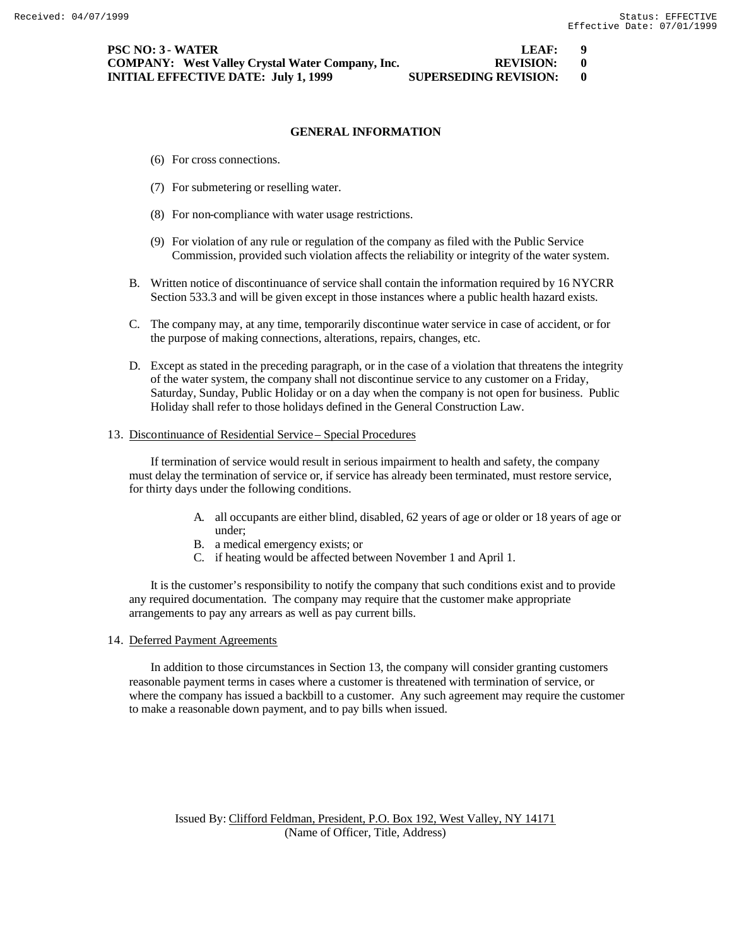- (6) For cross connections.
- (7) For submetering or reselling water.
- (8) For non-compliance with water usage restrictions.
- (9) For violation of any rule or regulation of the company as filed with the Public Service Commission, provided such violation affects the reliability or integrity of the water system.
- B. Written notice of discontinuance of service shall contain the information required by 16 NYCRR Section 533.3 and will be given except in those instances where a public health hazard exists.
- C. The company may, at any time, temporarily discontinue water service in case of accident, or for the purpose of making connections, alterations, repairs, changes, etc.
- D. Except as stated in the preceding paragraph, or in the case of a violation that threatens the integrity of the water system, the company shall not discontinue service to any customer on a Friday, Saturday, Sunday, Public Holiday or on a day when the company is not open for business. Public Holiday shall refer to those holidays defined in the General Construction Law.

#### 13. Discontinuance of Residential Service – Special Procedures

If termination of service would result in serious impairment to health and safety, the company must delay the termination of service or, if service has already been terminated, must restore service, for thirty days under the following conditions.

- A. all occupants are either blind, disabled, 62 years of age or older or 18 years of age or under;
- B. a medical emergency exists; or
- C. if heating would be affected between November 1 and April 1.

It is the customer's responsibility to notify the company that such conditions exist and to provide any required documentation. The company may require that the customer make appropriate arrangements to pay any arrears as well as pay current bills.

#### 14. Deferred Payment Agreements

In addition to those circumstances in Section 13, the company will consider granting customers reasonable payment terms in cases where a customer is threatened with termination of service, or where the company has issued a backbill to a customer. Any such agreement may require the customer to make a reasonable down payment, and to pay bills when issued.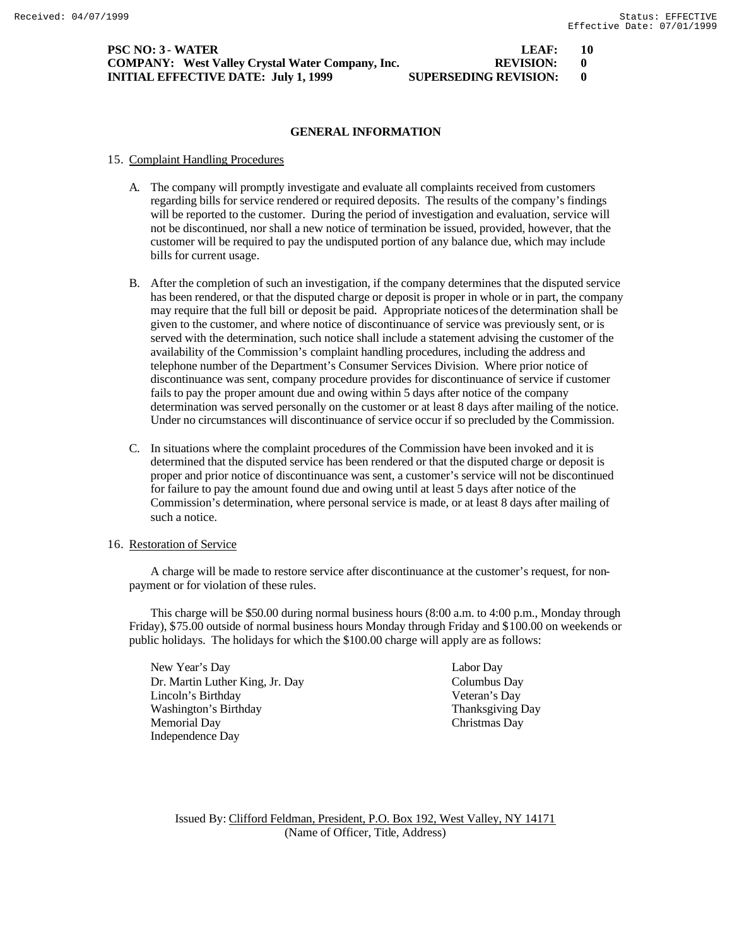| <b>PSC NO: 3 - WATER</b>                                | LEAF:                        | - 10 |
|---------------------------------------------------------|------------------------------|------|
| <b>COMPANY:</b> West Valley Crystal Water Company, Inc. | <b>REVISION:</b>             |      |
| <b>INITIAL EFFECTIVE DATE: July 1, 1999</b>             | <b>SUPERSEDING REVISION:</b> |      |

#### 15. Complaint Handling Procedures

- A. The company will promptly investigate and evaluate all complaints received from customers regarding bills for service rendered or required deposits. The results of the company's findings will be reported to the customer. During the period of investigation and evaluation, service will not be discontinued, nor shall a new notice of termination be issued, provided, however, that the customer will be required to pay the undisputed portion of any balance due, which may include bills for current usage.
- B. After the completion of such an investigation, if the company determines that the disputed service has been rendered, or that the disputed charge or deposit is proper in whole or in part, the company may require that the full bill or deposit be paid. Appropriate notices of the determination shall be given to the customer, and where notice of discontinuance of service was previously sent, or is served with the determination, such notice shall include a statement advising the customer of the availability of the Commission's complaint handling procedures, including the address and telephone number of the Department's Consumer Services Division. Where prior notice of discontinuance was sent, company procedure provides for discontinuance of service if customer fails to pay the proper amount due and owing within 5 days after notice of the company determination was served personally on the customer or at least 8 days after mailing of the notice. Under no circumstances will discontinuance of service occur if so precluded by the Commission.
- C. In situations where the complaint procedures of the Commission have been invoked and it is determined that the disputed service has been rendered or that the disputed charge or deposit is proper and prior notice of discontinuance was sent, a customer's service will not be discontinued for failure to pay the amount found due and owing until at least 5 days after notice of the Commission's determination, where personal service is made, or at least 8 days after mailing of such a notice.

#### 16. Restoration of Service

A charge will be made to restore service after discontinuance at the customer's request, for nonpayment or for violation of these rules.

This charge will be \$50.00 during normal business hours (8:00 a.m. to 4:00 p.m., Monday through Friday), \$75.00 outside of normal business hours Monday through Friday and \$100.00 on weekends or public holidays. The holidays for which the \$100.00 charge will apply are as follows:

New Year's Day Labor Day Dr. Martin Luther King, Jr. Day Columbus Day Lincoln's Birthday Veteran's Day Washington's Birthday Thanksgiving Day Memorial Day Christmas Day Independence Day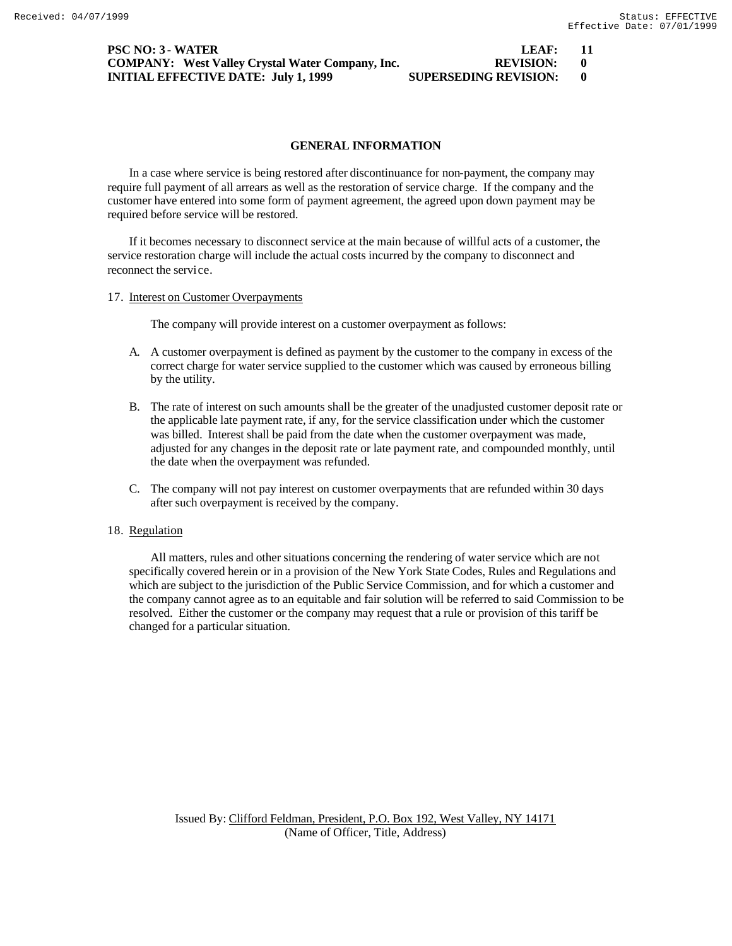| <b>PSC NO: 3 - WATER</b>                                | LEAF:                        | - 11 |
|---------------------------------------------------------|------------------------------|------|
| <b>COMPANY:</b> West Valley Crystal Water Company, Inc. | <b>REVISION:</b>             |      |
| <b>INITIAL EFFECTIVE DATE: July 1, 1999</b>             | <b>SUPERSEDING REVISION:</b> |      |

In a case where service is being restored after discontinuance for non-payment, the company may require full payment of all arrears as well as the restoration of service charge. If the company and the customer have entered into some form of payment agreement, the agreed upon down payment may be required before service will be restored.

If it becomes necessary to disconnect service at the main because of willful acts of a customer, the service restoration charge will include the actual costs incurred by the company to disconnect and reconnect the service.

17. Interest on Customer Overpayments

The company will provide interest on a customer overpayment as follows:

- A. A customer overpayment is defined as payment by the customer to the company in excess of the correct charge for water service supplied to the customer which was caused by erroneous billing by the utility.
- B. The rate of interest on such amounts shall be the greater of the unadjusted customer deposit rate or the applicable late payment rate, if any, for the service classification under which the customer was billed. Interest shall be paid from the date when the customer overpayment was made, adjusted for any changes in the deposit rate or late payment rate, and compounded monthly, until the date when the overpayment was refunded.
- C. The company will not pay interest on customer overpayments that are refunded within 30 days after such overpayment is received by the company.

## 18. Regulation

All matters, rules and other situations concerning the rendering of water service which are not specifically covered herein or in a provision of the New York State Codes, Rules and Regulations and which are subject to the jurisdiction of the Public Service Commission, and for which a customer and the company cannot agree as to an equitable and fair solution will be referred to said Commission to be resolved. Either the customer or the company may request that a rule or provision of this tariff be changed for a particular situation.